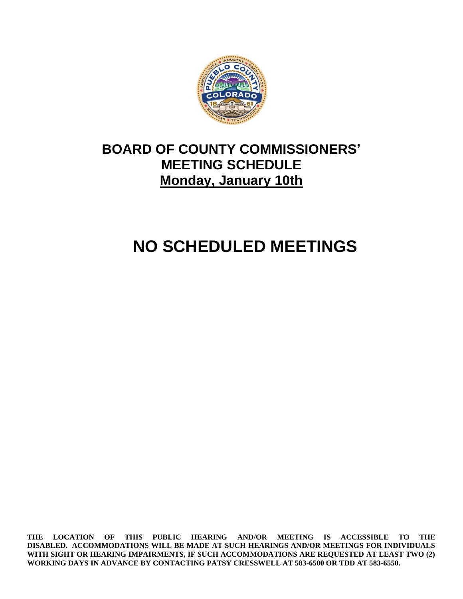

## **BOARD OF COUNTY COMMISSIONERS' MEETING SCHEDULE Monday, January 10th**

# **NO SCHEDULED MEETINGS**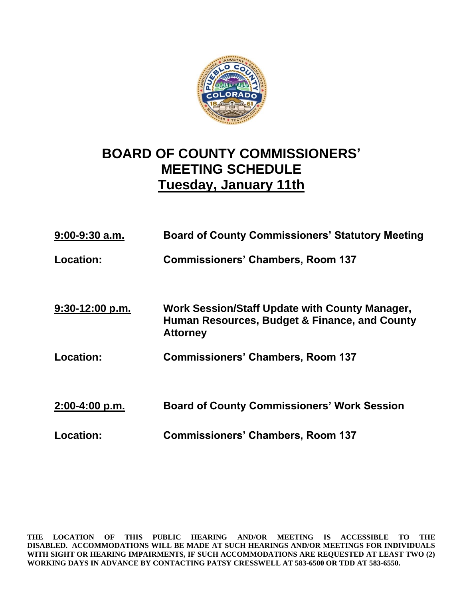

## **BOARD OF COUNTY COMMISSIONERS' MEETING SCHEDULE Tuesday, January 11th**

| $9:00-9:30$ a.m.  | <b>Board of County Commissioners' Statutory Meeting</b>                                                            |
|-------------------|--------------------------------------------------------------------------------------------------------------------|
| Location:         | <b>Commissioners' Chambers, Room 137</b>                                                                           |
|                   |                                                                                                                    |
| $9:30-12:00$ p.m. | Work Session/Staff Update with County Manager,<br>Human Resources, Budget & Finance, and County<br><b>Attorney</b> |
| Location:         | <b>Commissioners' Chambers, Room 137</b>                                                                           |
|                   |                                                                                                                    |
| $2:00-4:00 p.m.$  | <b>Board of County Commissioners' Work Session</b>                                                                 |
| <b>Location:</b>  | <b>Commissioners' Chambers, Room 137</b>                                                                           |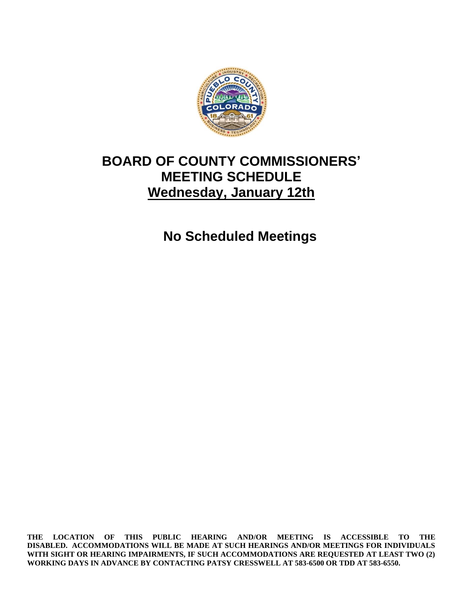

#### **BOARD OF COUNTY COMMISSIONERS' MEETING SCHEDULE Wednesday, January 12th**

**No Scheduled Meetings**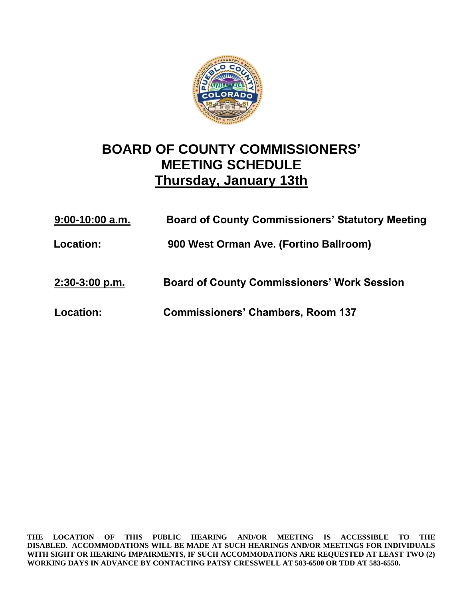

## **BOARD OF COUNTY COMMISSIONERS' MEETING SCHEDULE Thursday, January 13th**

| $9:00-10:00$ a.m. | <b>Board of County Commissioners' Statutory Meeting</b> |
|-------------------|---------------------------------------------------------|
| Location:         | 900 West Orman Ave. (Fortino Ballroom)                  |
| $2:30-3:00$ p.m.  | <b>Board of County Commissioners' Work Session</b>      |
| Location:         | <b>Commissioners' Chambers, Room 137</b>                |